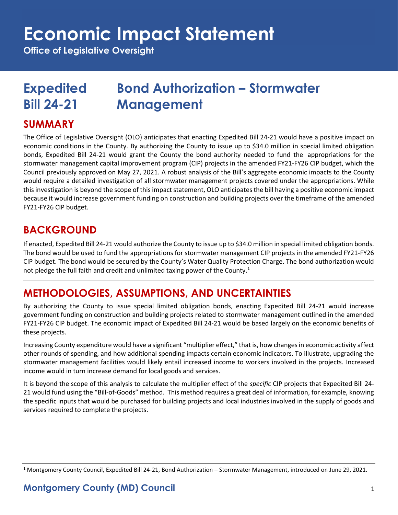# **Economic Impact Statement**

**Office of Legislative Oversight**

## **Expedited Bond Authorization – Stormwater Bill 24-21 Management**

#### **SUMMARY**

The Office of Legislative Oversight (OLO) anticipates that enacting Expedited Bill 24-21 would have a positive impact on economic conditions in the County. By authorizing the County to issue up to \$34.0 million in special limited obligation bonds, Expedited Bill 24-21 would grant the County the bond authority needed to fund the appropriations for the stormwater management capital improvement program (CIP) projects in the amended FY21-FY26 CIP budget, which the Council previously approved on May 27, 2021. A robust analysis of the Bill's aggregate economic impacts to the County would require a detailed investigation of all stormwater management projects covered under the appropriations. While this investigation is beyond the scope of this impact statement, OLO anticipates the bill having a positive economic impact because it would increase government funding on construction and building projects over the timeframe of the amended FY21-FY26 CIP budget.

### **BACKGROUND**

If enacted, Expedited Bill 24-21 would authorize the County to issue up to \$34.0 million in special limited obligation bonds. The bond would be used to fund the appropriations for stormwater management CIP projects in the amended FY21-FY26 CIP budget. The bond would be secured by the County's Water Quality Protection Charge. The bond authorization would not pledge the full faith and credit and unlimited taxing power of the County.<sup>1</sup>

### **METHODOLOGIES, ASSUMPTIONS, AND UNCERTAINTIES**

By authorizing the County to issue special limited obligation bonds, enacting Expedited Bill 24-21 would increase government funding on construction and building projects related to stormwater management outlined in the amended FY21-FY26 CIP budget. The economic impact of Expedited Bill 24-21 would be based largely on the economic benefits of these projects.

Increasing County expenditure would have a significant "multiplier effect," that is, how changes in economic activity affect other rounds of spending, and how additional spending impacts certain economic indicators. To illustrate, upgrading the stormwater management facilities would likely entail increased income to workers involved in the projects. Increased income would in turn increase demand for local goods and services.

It is beyond the scope of this analysis to calculate the multiplier effect of the *specific* CIP projects that Expedited Bill 24- 21 would fund using the "Bill-of-Goods" method. This method requires a great deal of information, for example, knowing the specific inputs that would be purchased for building projects and local industries involved in the supply of goods and services required to complete the projects.

#### **Montgomery County (MD) Council** 1

 $1$  Montgomery County Council, Expedited Bill 24-21, Bond Authorization – Stormwater Management, introduced on June 29, 2021.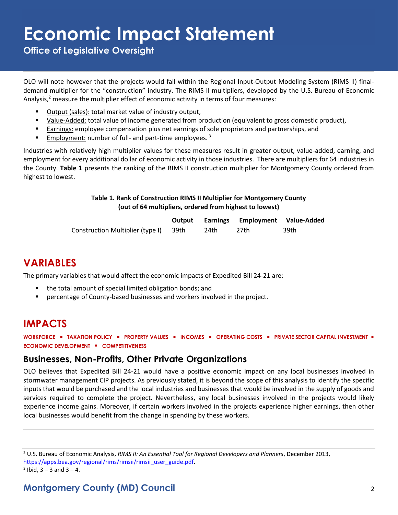## **Economic Impact Statement**

**Office of Legislative Oversight**

OLO will note however that the projects would fall within the Regional Input-Output Modeling System (RIMS II) finaldemand multiplier for the "construction" industry. The RIMS II multipliers, developed by the U.S. Bureau of Economic Analysis,<sup>2</sup> measure the multiplier effect of economic activity in terms of four measures:

- Output (sales): total market value of industry output,
- Value-Added: total value of income generated from production (equivalent to gross domestic product),
- **Earnings: employee compensation plus net earnings of sole proprietors and partnerships, and partnerships**
- **Employment:** number of full- and part-time employees.<sup>3</sup>

Industries with relatively high multiplier values for these measures result in greater output, value-added, earning, and employment for every additional dollar of economic activity in those industries. There are multipliers for 64 industries in the County. **Table 1** presents the ranking of the RIMS II construction multiplier for Montgomery County ordered from highest to lowest.

#### **Table 1. Rank of Construction RIMS II Multiplier for Montgomery County (out of 64 multipliers, ordered from highest to lowest)**

|                                       |      | <b>Output Earnings Employment Value-Added</b> |      |
|---------------------------------------|------|-----------------------------------------------|------|
| Construction Multiplier (type I) 39th | 24th | 27th                                          | 39th |

#### **VARIABLES**

The primary variables that would affect the economic impacts of Expedited Bill 24-21 are:

- the total amount of special limited obligation bonds; and
- **•** percentage of County-based businesses and workers involved in the project.

#### **IMPACTS**

**WORKFORCE** ▪ **TAXATION POLICY** ▪ **PROPERTY VALUES** ▪ **INCOMES** ▪ **OPERATING COSTS** ▪ **PRIVATE SECTOR CAPITAL INVESTMENT** ▪ **ECONOMIC DEVELOPMENT** ▪ **COMPETITIVENESS**

#### **Businesses, Non-Profits, Other Private Organizations**

OLO believes that Expedited Bill 24-21 would have a positive economic impact on any local businesses involved in stormwater management CIP projects. As previously stated, it is beyond the scope of this analysis to identify the specific inputs that would be purchased and the local industries and businesses that would be involved in the supply of goods and services required to complete the project. Nevertheless, any local businesses involved in the projects would likely experience income gains. Moreover, if certain workers involved in the projects experience higher earnings, then other local businesses would benefit from the change in spending by these workers.

<sup>2</sup> U.S. Bureau of Economic Analysis, *RIMS II: An Essential Tool for Regional Developers and Planners*, December 2013,

[https://apps.bea.gov/regional/rims/rimsii/rimsii\\_user\\_guide.pdf.](https://apps.bea.gov/regional/rims/rimsii/rimsii_user_guide.pdf)

 $3$  Ibid,  $3 - 3$  and  $3 - 4$ .